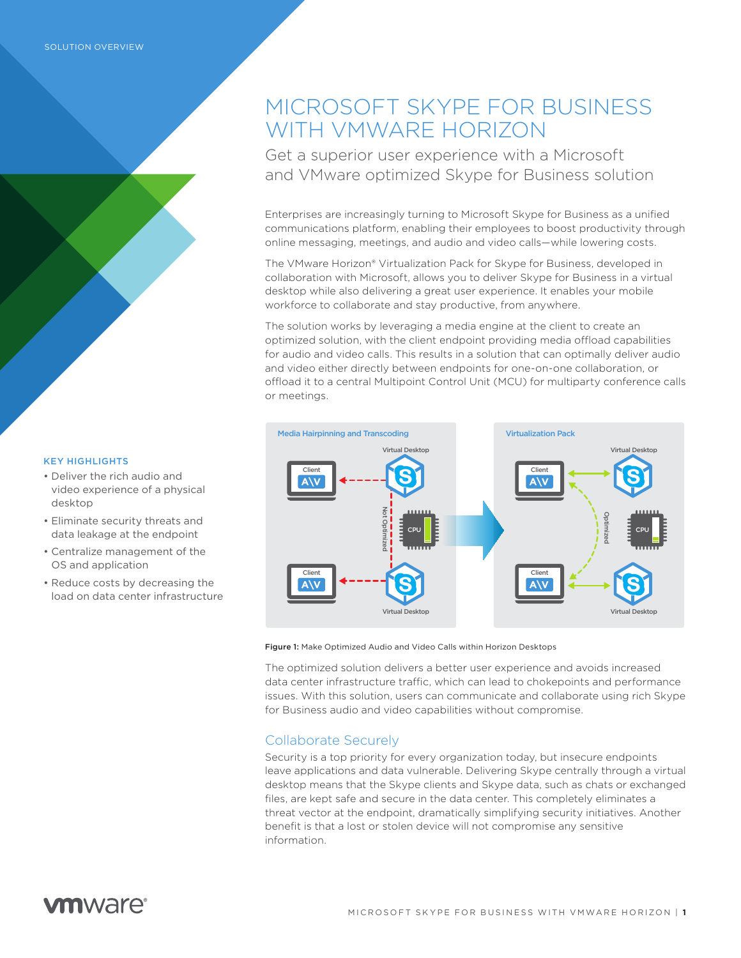# MICROSOFT SKYPE FOR BUSINESS WITH VMWARE HORIZON

Get a superior user experience with a Microsoft and VMware optimized Skype for Business solution

Enterprises are increasingly turning to Microsoft Skype for Business as a unified communications platform, enabling their employees to boost productivity through online messaging, meetings, and audio and video calls—while lowering costs.

The VMware Horizon® Virtualization Pack for Skype for Business, developed in collaboration with Microsoft, allows you to deliver Skype for Business in a virtual desktop while also delivering a great user experience. It enables your mobile workforce to collaborate and stay productive, from anywhere.

The solution works by leveraging a media engine at the client to create an optimized solution, with the client endpoint providing media offload capabilities for audio and video calls. This results in a solution that can optimally deliver audio and video either directly between endpoints for one-on-one collaboration, or offload it to a central Multipoint Control Unit (MCU) for multiparty conference calls or meetings.



Figure 1: Make Optimized Audio and Video Calls within Horizon Desktops

The optimized solution delivers a better user experience and avoids increased data center infrastructure traffic, which can lead to chokepoints and performance issues. With this solution, users can communicate and collaborate using rich Skype for Business audio and video capabilities without compromise.

### Collaborate Securely

Security is a top priority for every organization today, but insecure endpoints leave applications and data vulnerable. Delivering Skype centrally through a virtual desktop means that the Skype clients and Skype data, such as chats or exchanged files, are kept safe and secure in the data center. This completely eliminates a threat vector at the endpoint, dramatically simplifying security initiatives. Another benefit is that a lost or stolen device will not compromise any sensitive information.

#### KEY HIGHLIGHTS

- • Deliver the rich audio and video experience of a physical desktop
- • Eliminate security threats and data leakage at the endpoint
- • Centralize management of the OS and application
- Reduce costs by decreasing the load on data center infrastructure